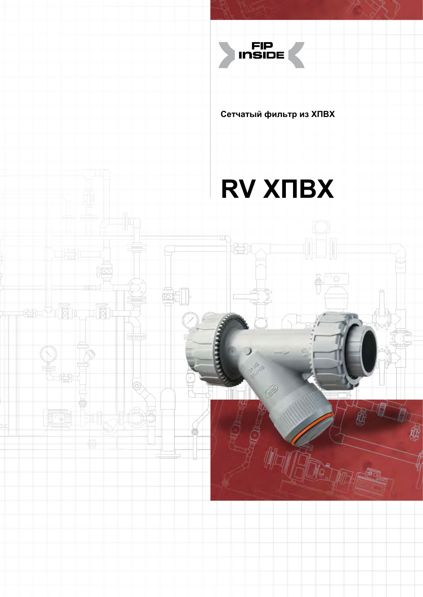

**Сетчатый фильтр из ХПВХ**

# **RV ХПВХ**

Ò

梅

erhin

**High** 

ō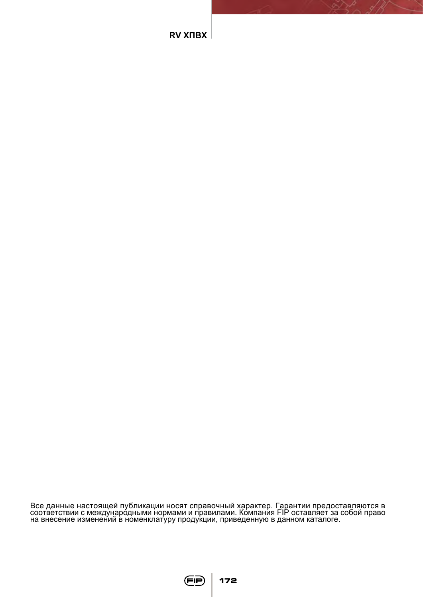Все данные настоящей публикации носят справочный характер. Гарантии предоставляются в соответствии с междунаро́дными нормами и правилами. Компания FIP оставляет за собой право<br>на внесение изменений в номенклатуру продукции, приведенную в данном каталоге.



**172**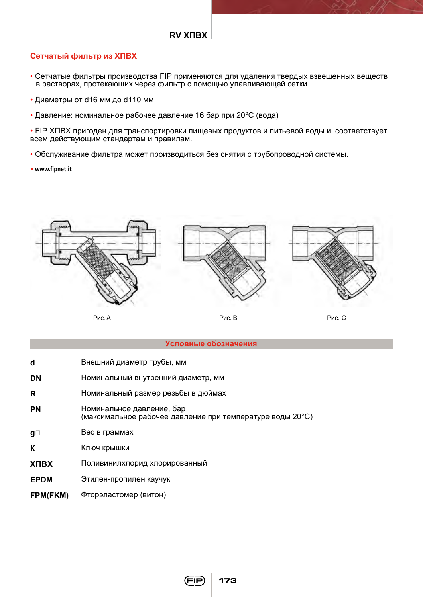## **Сетчатый фильтр из ХПВХ**

- Сетчатые фильтры производства FIP применяются для удаления твердых взвешенных веществ в растворах, протекающих через фильтр с помощью улавливающей сетки.
- Диаметры от d16 мм до d110 мм
- Давление: номинальное рабочее давление 16 бар при 20°С (вода)

• FIP ХПВХ пригоден для транспортировки пищевых продуктов и питьевой воды и соответствует всем действующим стандартам и правилам.

- Обслуживание фильтра может производиться без снятия с трубопроводной системы.
- **www.fipnet.it**



#### **Условные обозначения**

- Внешний диаметр трубы, мм  $\mathbf d$
- Номинальный внутренний диаметр, мм **DN**
- Номинальный размер резьбы в дюймах  $\mathbf{R}$
- **PN** Номинальное давление, бар (максимальное рабочее давление при температуре воды 20°С)
- Вес в граммах  $\mathbf{q}$
- $\mathbf{K}$ Ключ крышки
- **XNRX** Поливинилхлорид хлорированный
- Этилен-пропилен каучук **EPDM**
- Фторэластомер (витон) FPM(FKM)

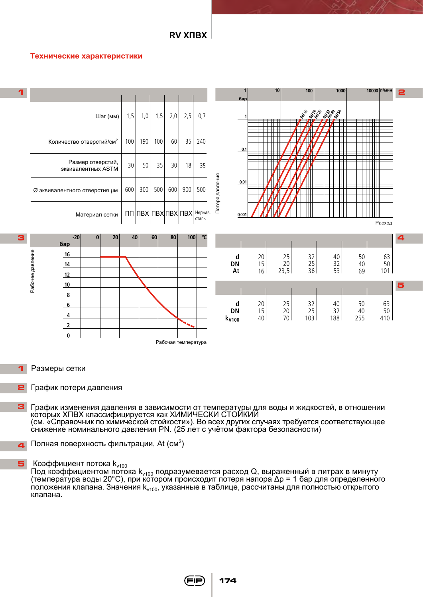#### **Технические характеристики**



- Размеры сетки
- График потери давления
- График изменения давления в зависимости от температуры для воды и жидкостей, в отношении которых ХПВХ классифицируется как ХИМИЧЕСКИ СТОЙКИЙ (см. «Справочник по химической стойкости»). Во всех других случаях требуется соответствующее снижение номинального давления PN. (25 лет с учётом фактора безопасности)
- Полная поверхность фильтрации, At  $(\text{cm}^2)$

 Коэффициент потока  $k_{v100}$ 

Под коэффициентом потока  $k_{v100}$  подразумевается расход Q, выраженный в литрах в минуту (температура воды 20°С), при котором происходит потеря напора Δp = 1 бар для определенного положения клапана. Значения k<sub>v100</sub>, указанные в таблице, рассчитаны для полностью открытого клапана.

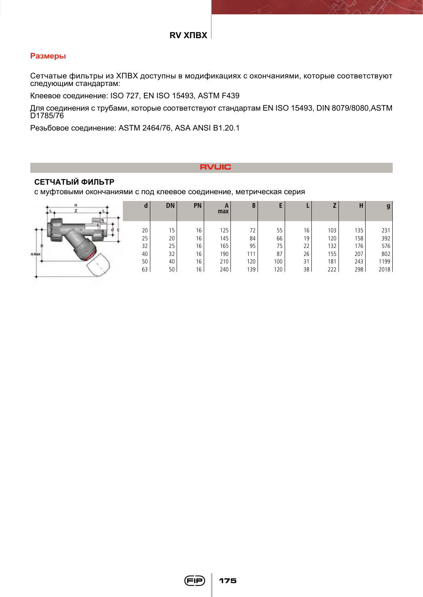## **Размеры**

Сетчатые фильтры из ХПВХ доступны в модификациях с окончаниями, которые соответствуют следующим стандартам:

Клеевое соединение: ISO 727, EN ISO 15493, ASTM F439

Для соединения с трубами, которые соответствуют стандартам EN ISO 15493, DIN 8079/8080,ASTM D1785/76

Резьбовое соединение: ASTM 2464/76, ASA ANSI B1.20.1

## **RVUIC**

## **СЕТЧАТЫЙ ФИЛЬТР**

с муфтовыми окончаниями с под клеевое соединение, метрическая серия

|      | a        | <b>DN</b> | <b>PN</b> | A<br>max   | B          |                  |          |            | Н          | g           |
|------|----------|-----------|-----------|------------|------------|------------------|----------|------------|------------|-------------|
|      | 20<br>25 | 15<br>20  | 16<br>16  | 125<br>145 | 72<br>84   | 55<br>66         | 16<br>19 | 103<br>120 | 135<br>158 | 231<br>392  |
|      | 32       | 25        | 16        | 165        | 95         | 75               | 22       | 132        | 176        | 576         |
| Amax | 40<br>50 | 32<br>40  | 16<br>16  | 190<br>210 | 111<br>120 | 87<br>100        | 26<br>31 | 155<br>181 | 207<br>243 | 802<br>1199 |
|      | 63       | 50        | 16        | 240        | 139        | 120 <sub>1</sub> | 38       | 222        | 298        | 2018        |

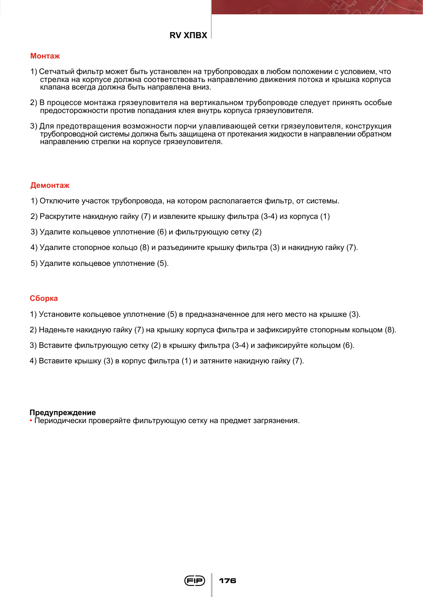## **Монтаж**

- 1) Сетчатый фильтр может быть установлен на трубопроводах в любом положении с условием, что стрелка на корпусе должна соответствовать направлению движения потока и крышка корпуса клапана всегда должна быть направлена вниз.
- 2) В процессе монтажа грязеуловителя на вертикальном трубопроводе следует принять особые предосторожности против попадания клея внутрь корпуса грязеуловителя.
- 3) Для предотвращения возможности порчи улавливающей сетки грязеуловителя, конструкция трубопроводной системы должна быть защищена от протекания жидкости в направлении обратном направлению стрелки на корпусе грязеуловителя.

## **Демонтаж**

- 1) Отключите участок трубопровода, на котором располагается фильтр, от системы.
- 2) Раскрутите накидную гайку (7) и извлеките крышку фильтра (3-4) из корпуса (1)
- 3) Удалите кольцевое уплотнение (6) и фильтрующую сетку (2)
- 4) Удалите стопорное кольцо (8) и разъедините крышку фильтра (3) и накидную гайку (7).
- 5) Удалите кольцевое уплотнение (5).

## **Сборка**

- 1) Установите кольцевое уплотнение (5) в предназначенное для него место на крышке (3).
- 2) Наденьте накидную гайку (7) на крышку корпуса фильтра и зафиксируйте стопорным кольцом (8).
- 3) Вставите фильтрующую сетку (2) в крышку фильтра (3-4) и зафиксируйте кольцом (6).
- 4) Вставите крышку (3) в корпус фильтра (1) и затяните накидную гайку (7).

#### **Предупреждение**

• Периодически проверяйте фильтрующую сетку на предмет загрязнения.

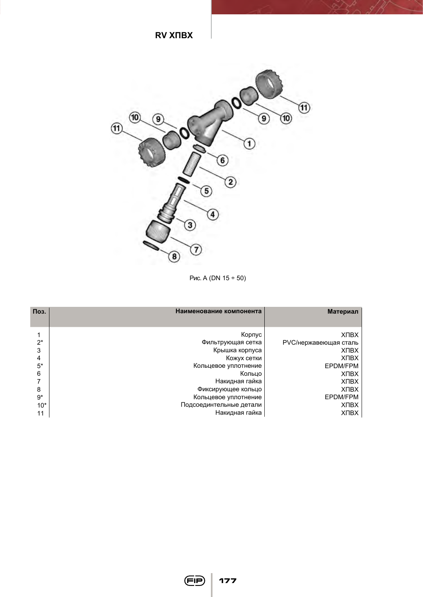

Рис. A (DN 15 ÷ 50)

| Поз.  | Наименование компонента | Материал              |
|-------|-------------------------|-----------------------|
|       | Корпус                  | <b>XNBX</b>           |
| $2^*$ | Фильтрующая сетка       | PVC/нержавеющая сталь |
| 3     | Крышка корпуса          | <b>XNBX</b>           |
| 4     | Кожух сетки             | <b>XNBX</b>           |
| $5*$  | Кольцевое уплотнение    | EPDM/FPM              |
| 6     | Кольцо                  | <b>XNBX</b>           |
| 7     | Накидная гайка          | <b>XNBX</b>           |
| 8     | Фиксирующее кольцо      | <b>XNBX</b>           |
| $9*$  | Кольцевое уплотнение    | EPDM/FPM              |
| $10*$ | Подсоединтельные детали | <b>XNBX</b>           |
| 11    | Накидная гайка          | <b>XNBX</b>           |

**177**

(FIP)